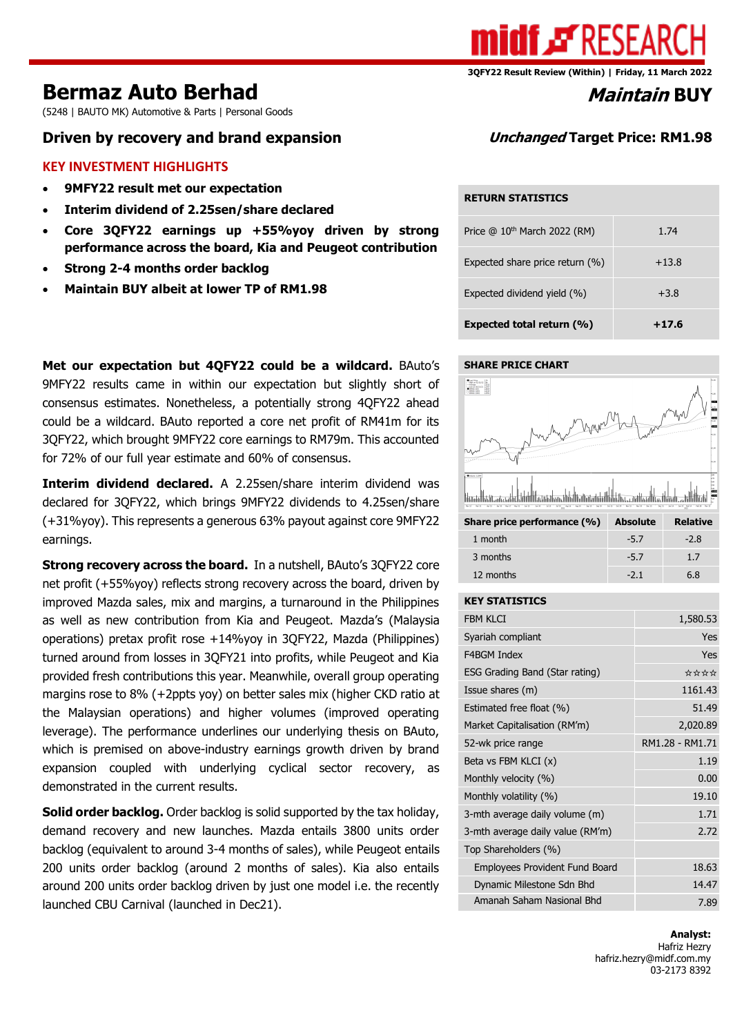

# **Bermaz Auto Berhad** *Maintain* **BUY**

(5248 | BAUTO MK) Automotive & Parts | Personal Goods

## **Driven by recovery and brand expansion Unchanged Target Price: RM1.98**

#### **KEY INVESTMENT HIGHLIGHTS**

- **9MFY22 result met our expectation**
- **Interim dividend of 2.25sen/share declared**
- **Core 3QFY22 earnings up +55%yoy driven by strong performance across the board, Kia and Peugeot contribution**
- **Strong 2-4 months order backlog**
- **Maintain BUY albeit at lower TP of RM1.98**

**Met our expectation but 4QFY22 could be a wildcard.** BAuto's 9MFY22 results came in within our expectation but slightly short of consensus estimates. Nonetheless, a potentially strong 4QFY22 ahead could be a wildcard. BAuto reported a core net profit of RM41m for its 3QFY22, which brought 9MFY22 core earnings to RM79m. This accounted for 72% of our full year estimate and 60% of consensus.

**Interim dividend declared.** A 2.25sen/share interim dividend was declared for 3QFY22, which brings 9MFY22 dividends to 4.25sen/share (+31%yoy). This represents a generous 63% payout against core 9MFY22 earnings.

**Strong recovery across the board.** In a nutshell, BAuto's 3QFY22 core net profit (+55%yoy) reflects strong recovery across the board, driven by improved Mazda sales, mix and margins, a turnaround in the Philippines as well as new contribution from Kia and Peugeot. Mazda's (Malaysia operations) pretax profit rose +14%yoy in 3QFY22, Mazda (Philippines) turned around from losses in 3QFY21 into profits, while Peugeot and Kia provided fresh contributions this year. Meanwhile, overall group operating margins rose to 8% (+2ppts yoy) on better sales mix (higher CKD ratio at the Malaysian operations) and higher volumes (improved operating leverage). The performance underlines our underlying thesis on BAuto, which is premised on above-industry earnings growth driven by brand expansion coupled with underlying cyclical sector recovery, as demonstrated in the current results.

**Solid order backlog.** Order backlog is solid supported by the tax holiday, demand recovery and new launches. Mazda entails 3800 units order backlog (equivalent to around 3-4 months of sales), while Peugeot entails 200 units order backlog (around 2 months of sales). Kia also entails around 200 units order backlog driven by just one model i.e. the recently launched CBU Carnival (launched in Dec21).

#### **RETURN STATISTICS**

| Expected total return (%)       | $+17.6$ |
|---------------------------------|---------|
| Expected dividend yield (%)     | $+3.8$  |
| Expected share price return (%) | $+13.8$ |
| Price $@10th$ March 2022 (RM)   | 1.74    |

#### **SHARE PRICE CHART**



| 1 month   | $-2.8$ |
|-----------|--------|
| 3 months  | 17     |
| 12 months | 6.8    |
|           |        |

#### **KEY STATISTICS**

| FBM KI CT                             | 1,580.53        |
|---------------------------------------|-----------------|
| Syariah compliant                     | Yes             |
| F4BGM Index                           | Yes             |
| ESG Grading Band (Star rating)        | ****            |
| Issue shares (m)                      | 1161.43         |
| Estimated free float (%)              | 51.49           |
| Market Capitalisation (RM'm)          | 2,020.89        |
| 52-wk price range                     | RM1.28 - RM1.71 |
| Beta vs FBM KLCI (x)                  | 1.19            |
| Monthly velocity (%)                  | 0.00            |
| Monthly volatility (%)                | 19.10           |
| 3-mth average daily volume (m)        | 1.71            |
| 3-mth average daily value (RM'm)      | 2.72            |
| Top Shareholders (%)                  |                 |
| <b>Employees Provident Fund Board</b> | 18.63           |
| Dynamic Milestone Sdn Bhd             | 14.47           |
| Amanah Saham Nasional Bhd             | 7.89            |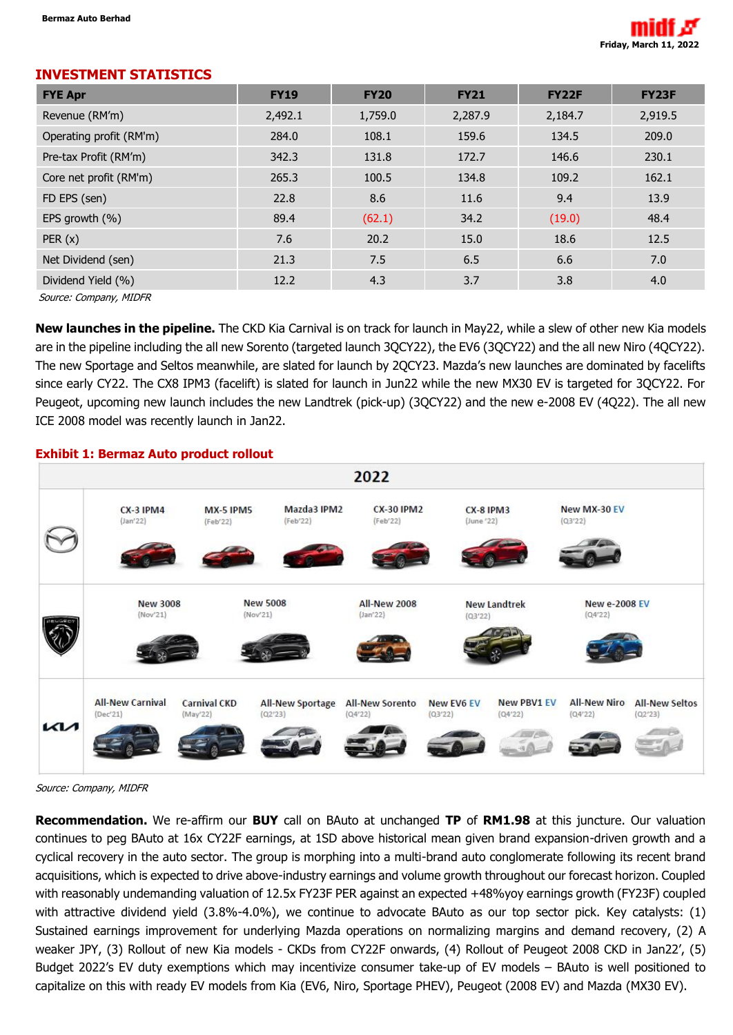

#### **INVESTMENT STATISTICS**

| <b>FYE Apr</b>          | <b>FY19</b> | <b>FY20</b> | <b>FY21</b> | <b>FY22F</b> | <b>FY23F</b> |
|-------------------------|-------------|-------------|-------------|--------------|--------------|
| Revenue (RM'm)          | 2,492.1     | 1,759.0     | 2,287.9     | 2,184.7      | 2,919.5      |
| Operating profit (RM'm) | 284.0       | 108.1       | 159.6       | 134.5        | 209.0        |
| Pre-tax Profit (RM'm)   | 342.3       | 131.8       | 172.7       | 146.6        | 230.1        |
| Core net profit (RM'm)  | 265.3       | 100.5       | 134.8       | 109.2        | 162.1        |
| FD EPS (sen)            | 22.8        | 8.6         | 11.6        | 9.4          | 13.9         |
| EPS growth (%)          | 89.4        | (62.1)      | 34.2        | (19.0)       | 48.4         |
| PER(x)                  | 7.6         | 20.2        | 15.0        | 18.6         | 12.5         |
| Net Dividend (sen)      | 21.3        | 7.5         | 6.5         | 6.6          | 7.0          |
| Dividend Yield (%)      | 12.2        | 4.3         | 3.7         | 3.8          | 4.0          |
| Source: Company MIDER   |             |             |             |              |              |

Source: Company, MIDFR

**New launches in the pipeline.** The CKD Kia Carnival is on track for launch in May22, while a slew of other new Kia models are in the pipeline including the all new Sorento (targeted launch 3QCY22), the EV6 (3QCY22) and the all new Niro (4QCY22). The new Sportage and Seltos meanwhile, are slated for launch by 2QCY23. Mazda's new launches are dominated by facelifts since early CY22. The CX8 IPM3 (facelift) is slated for launch in Jun22 while the new MX30 EV is targeted for 3QCY22. For Peugeot, upcoming new launch includes the new Landtrek (pick-up) (3QCY22) and the new e-2008 EV (4Q22). The all new ICE 2008 model was recently launch in Jan22.

### **Exhibit 1: Bermaz Auto product rollout**



Source: Company, MIDFR

**Recommendation.** We re-affirm our **BUY** call on BAuto at unchanged **TP** of **RM1.98** at this juncture. Our valuation continues to peg BAuto at 16x CY22F earnings, at 1SD above historical mean given brand expansion-driven growth and a cyclical recovery in the auto sector. The group is morphing into a multi-brand auto conglomerate following its recent brand acquisitions, which is expected to drive above-industry earnings and volume growth throughout our forecast horizon. Coupled with reasonably undemanding valuation of 12.5x FY23F PER against an expected +48%yoy earnings growth (FY23F) coupled with attractive dividend yield (3.8%-4.0%), we continue to advocate BAuto as our top sector pick. Key catalysts: (1) Sustained earnings improvement for underlying Mazda operations on normalizing margins and demand recovery, (2) A weaker JPY, (3) Rollout of new Kia models - CKDs from CY22F onwards, (4) Rollout of Peugeot 2008 CKD in Jan22', (5) Budget 2022's EV duty exemptions which may incentivize consumer take-up of EV models – BAuto is well positioned to capitalize on this with ready EV models from Kia (EV6, Niro, Sportage PHEV), Peugeot (2008 EV) and Mazda (MX30 EV).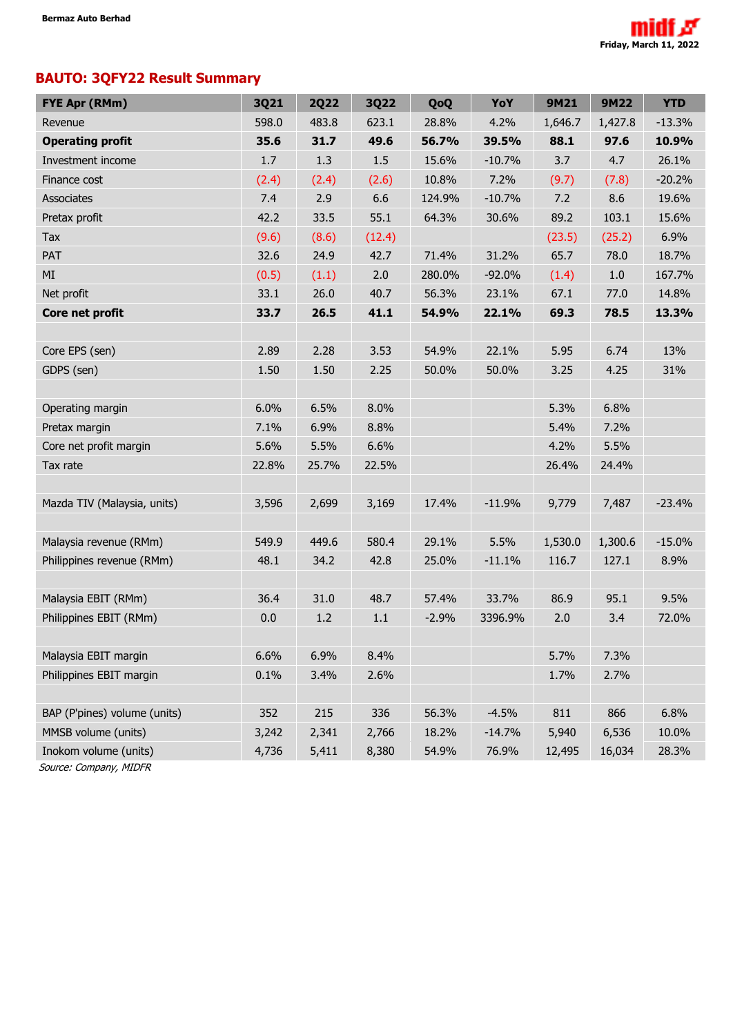# **BAUTO: 3QFY22 Result Summary**

| <b>FYE Apr (RMm)</b>         | 3Q21  | <b>2Q22</b> | <b>3Q22</b> | QoQ     | YoY      | 9M21    | <b>9M22</b> | <b>YTD</b> |
|------------------------------|-------|-------------|-------------|---------|----------|---------|-------------|------------|
| Revenue                      | 598.0 | 483.8       | 623.1       | 28.8%   | 4.2%     | 1,646.7 | 1,427.8     | $-13.3%$   |
| <b>Operating profit</b>      | 35.6  | 31.7        | 49.6        | 56.7%   | 39.5%    | 88.1    | 97.6        | 10.9%      |
| Investment income            | 1.7   | 1.3         | 1.5         | 15.6%   | $-10.7%$ | 3.7     | 4.7         | 26.1%      |
| Finance cost                 | (2.4) | (2.4)       | (2.6)       | 10.8%   | 7.2%     | (9.7)   | (7.8)       | $-20.2%$   |
| Associates                   | 7.4   | 2.9         | 6.6         | 124.9%  | $-10.7%$ | 7.2     | 8.6         | 19.6%      |
| Pretax profit                | 42.2  | 33.5        | 55.1        | 64.3%   | 30.6%    | 89.2    | 103.1       | 15.6%      |
| Tax                          | (9.6) | (8.6)       | (12.4)      |         |          | (23.5)  | (25.2)      | 6.9%       |
| PAT                          | 32.6  | 24.9        | 42.7        | 71.4%   | 31.2%    | 65.7    | 78.0        | 18.7%      |
| MI                           | (0.5) | (1.1)       | 2.0         | 280.0%  | $-92.0%$ | (1.4)   | $1.0\,$     | 167.7%     |
| Net profit                   | 33.1  | 26.0        | 40.7        | 56.3%   | 23.1%    | 67.1    | 77.0        | 14.8%      |
| Core net profit              | 33.7  | 26.5        | 41.1        | 54.9%   | 22.1%    | 69.3    | 78.5        | 13.3%      |
|                              |       |             |             |         |          |         |             |            |
| Core EPS (sen)               | 2.89  | 2.28        | 3.53        | 54.9%   | 22.1%    | 5.95    | 6.74        | 13%        |
| GDPS (sen)                   | 1.50  | 1.50        | 2.25        | 50.0%   | 50.0%    | 3.25    | 4.25        | 31%        |
|                              |       |             |             |         |          |         |             |            |
| Operating margin             | 6.0%  | 6.5%        | 8.0%        |         |          | 5.3%    | 6.8%        |            |
| Pretax margin                | 7.1%  | 6.9%        | 8.8%        |         |          | 5.4%    | 7.2%        |            |
| Core net profit margin       | 5.6%  | 5.5%        | 6.6%        |         |          | 4.2%    | 5.5%        |            |
| Tax rate                     | 22.8% | 25.7%       | 22.5%       |         |          | 26.4%   | 24.4%       |            |
|                              |       |             |             |         |          |         |             |            |
| Mazda TIV (Malaysia, units)  | 3,596 | 2,699       | 3,169       | 17.4%   | $-11.9%$ | 9,779   | 7,487       | $-23.4%$   |
|                              |       |             |             |         |          |         |             |            |
| Malaysia revenue (RMm)       | 549.9 | 449.6       | 580.4       | 29.1%   | 5.5%     | 1,530.0 | 1,300.6     | $-15.0%$   |
| Philippines revenue (RMm)    | 48.1  | 34.2        | 42.8        | 25.0%   | $-11.1%$ | 116.7   | 127.1       | 8.9%       |
|                              |       |             |             |         |          |         |             |            |
| Malaysia EBIT (RMm)          | 36.4  | 31.0        | 48.7        | 57.4%   | 33.7%    | 86.9    | 95.1        | 9.5%       |
| Philippines EBIT (RMm)       | 0.0   | 1.2         | 1.1         | $-2.9%$ | 3396.9%  | 2.0     | 3.4         | 72.0%      |
|                              |       |             |             |         |          |         |             |            |
| Malaysia EBIT margin         | 6.6%  | 6.9%        | 8.4%        |         |          | 5.7%    | 7.3%        |            |
| Philippines EBIT margin      | 0.1%  | 3.4%        | 2.6%        |         |          | 1.7%    | 2.7%        |            |
|                              |       |             |             |         |          |         |             |            |
| BAP (P'pines) volume (units) | 352   | 215         | 336         | 56.3%   | $-4.5%$  | 811     | 866         | 6.8%       |
| MMSB volume (units)          | 3,242 | 2,341       | 2,766       | 18.2%   | $-14.7%$ | 5,940   | 6,536       | 10.0%      |
| Inokom volume (units)        | 4,736 | 5,411       | 8,380       | 54.9%   | 76.9%    | 12,495  | 16,034      | 28.3%      |

Source: Company, MIDFR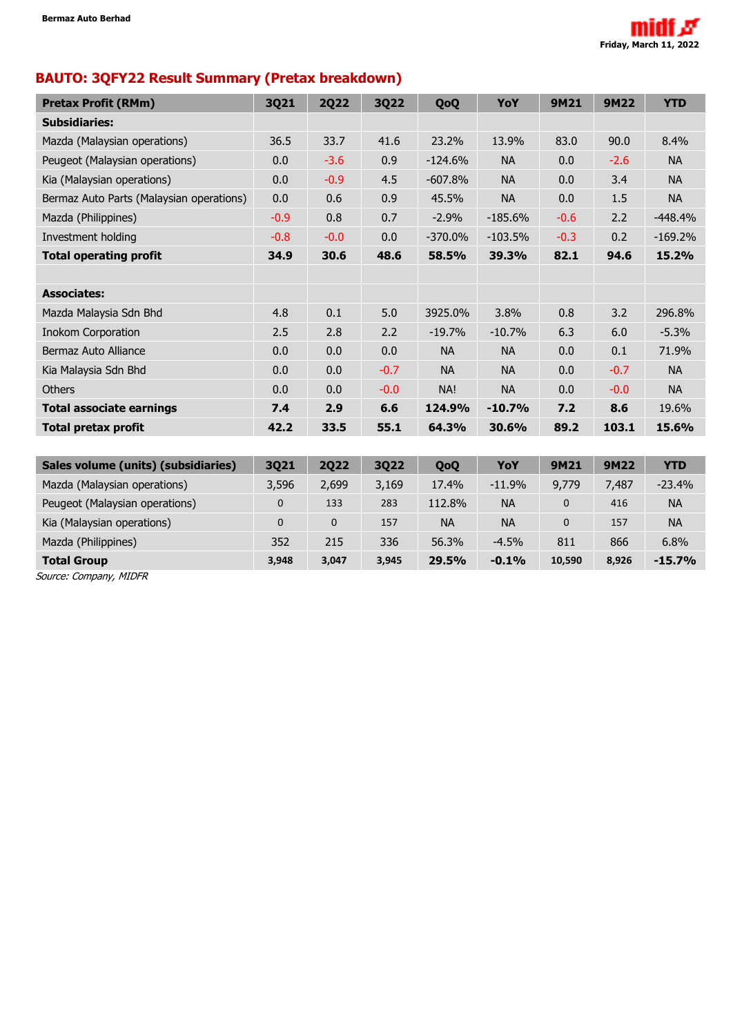

# **BAUTO: 3QFY22 Result Summary (Pretax breakdown)**

| <b>Pretax Profit (RMm)</b>               | 3Q21        | <b>2Q22</b> | 3Q22   | QoQ       | YoY       | 9M21        | <b>9M22</b> | <b>YTD</b> |
|------------------------------------------|-------------|-------------|--------|-----------|-----------|-------------|-------------|------------|
| <b>Subsidiaries:</b>                     |             |             |        |           |           |             |             |            |
| Mazda (Malaysian operations)             | 36.5        | 33.7        | 41.6   | 23.2%     | 13.9%     | 83.0        | 90.0        | 8.4%       |
| Peugeot (Malaysian operations)           | 0.0         | $-3.6$      | 0.9    | $-124.6%$ | <b>NA</b> | 0.0         | $-2.6$      | <b>NA</b>  |
| Kia (Malaysian operations)               | 0.0         | $-0.9$      | 4.5    | $-607.8%$ | <b>NA</b> | 0.0         | 3.4         | <b>NA</b>  |
| Bermaz Auto Parts (Malaysian operations) | 0.0         | 0.6         | 0.9    | 45.5%     | <b>NA</b> | 0.0         | 1.5         | <b>NA</b>  |
| Mazda (Philippines)                      | $-0.9$      | 0.8         | 0.7    | $-2.9%$   | $-185.6%$ | $-0.6$      | 2.2         | $-448.4%$  |
| Investment holding                       | $-0.8$      | $-0.0$      | 0.0    | $-370.0%$ | $-103.5%$ | $-0.3$      | 0.2         | $-169.2%$  |
| <b>Total operating profit</b>            | 34.9        | 30.6        | 48.6   | 58.5%     | 39.3%     | 82.1        | 94.6        | 15.2%      |
|                                          |             |             |        |           |           |             |             |            |
| <b>Associates:</b>                       |             |             |        |           |           |             |             |            |
| Mazda Malaysia Sdn Bhd                   | 4.8         | 0.1         | 5.0    | 3925.0%   | 3.8%      | 0.8         | 3.2         | 296.8%     |
| <b>Inokom Corporation</b>                | 2.5         | 2.8         | 2.2    | $-19.7%$  | $-10.7%$  | 6.3         | 6.0         | $-5.3%$    |
| Bermaz Auto Alliance                     | 0.0         | 0.0         | 0.0    | <b>NA</b> | <b>NA</b> | 0.0         | 0.1         | 71.9%      |
| Kia Malaysia Sdn Bhd                     | 0.0         | 0.0         | $-0.7$ | <b>NA</b> | <b>NA</b> | 0.0         | $-0.7$      | <b>NA</b>  |
| <b>Others</b>                            | 0.0         | 0.0         | $-0.0$ | NA!       | <b>NA</b> | 0.0         | $-0.0$      | <b>NA</b>  |
| <b>Total associate earnings</b>          | 7.4         | 2.9         | 6.6    | 124.9%    | $-10.7%$  | 7.2         | 8.6         | 19.6%      |
| <b>Total pretax profit</b>               | 42.2        | 33.5        | 55.1   | 64.3%     | 30.6%     | 89.2        | 103.1       | 15.6%      |
|                                          |             |             |        |           |           |             |             |            |
| Sales volume (units) (subsidiaries)      | 3Q21        | <b>2Q22</b> | 3Q22   | QoQ       | YoY       | 9M21        | <b>9M22</b> | <b>YTD</b> |
| Mazda (Malaysian operations)             | 3,596       | 2,699       | 3,169  | 17.4%     | $-11.9%$  | 9,779       | 7,487       | $-23.4%$   |
| Peugeot (Malaysian operations)           | $\mathbf 0$ | 133         | 283    | 112.8%    | <b>NA</b> | $\mathbf 0$ | 416         | <b>NA</b>  |
| Kia (Malaysian operations)               | $\mathbf 0$ | $\pmb{0}$   | 157    | <b>NA</b> | <b>NA</b> | $\pmb{0}$   | 157         | <b>NA</b>  |
| Mazda (Philippines)                      | 352         | 215         | 336    | 56.3%     | $-4.5%$   | 811         | 866         | 6.8%       |
| <b>Total Group</b>                       | 3,948       | 3,047       | 3,945  | 29.5%     | $-0.1%$   | 10,590      | 8,926       | $-15.7%$   |

Source: Company, MIDFR